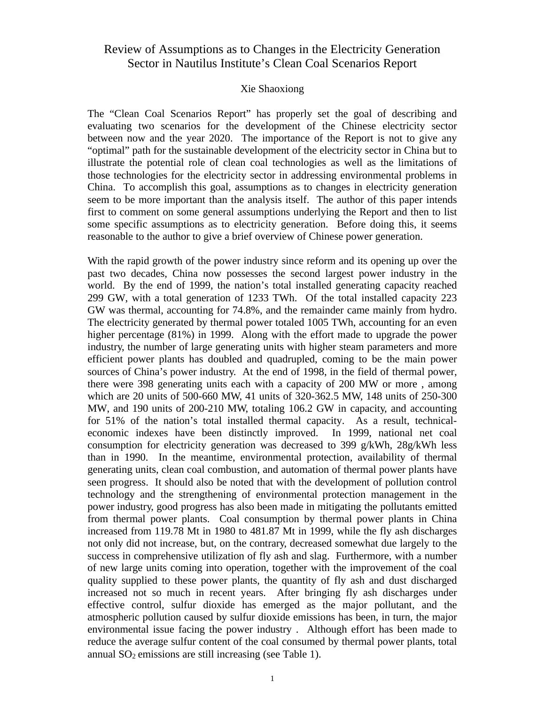# Review of Assumptions as to Changes in the Electricity Generation Sector in Nautilus Institute's Clean Coal Scenarios Report

## Xie Shaoxiong

The "Clean Coal Scenarios Report" has properly set the goal of describing and evaluating two scenarios for the development of the Chinese electricity sector between now and the year 2020. The importance of the Report is not to give any "optimal" path for the sustainable development of the electricity sector in China but to illustrate the potential role of clean coal technologies as well as the limitations of those technologies for the electricity sector in addressing environmental problems in China. To accomplish this goal, assumptions as to changes in electricity generation seem to be more important than the analysis itself. The author of this paper intends first to comment on some general assumptions underlying the Report and then to list some specific assumptions as to electricity generation. Before doing this, it seems reasonable to the author to give a brief overview of Chinese power generation.

With the rapid growth of the power industry since reform and its opening up over the past two decades, China now possesses the second largest power industry in the world. By the end of 1999, the nation's total installed generating capacity reached 299 GW, with a total generation of 1233 TWh. Of the total installed capacity 223 GW was thermal, accounting for 74.8%, and the remainder came mainly from hydro. The electricity generated by thermal power totaled 1005 TWh, accounting for an even higher percentage (81%) in 1999. Along with the effort made to upgrade the power industry, the number of large generating units with higher steam parameters and more efficient power plants has doubled and quadrupled, coming to be the main power sources of China's power industry. At the end of 1998, in the field of thermal power, there were 398 generating units each with a capacity of 200 MW or more , among which are 20 units of 500-660 MW, 41 units of 320-362.5 MW, 148 units of 250-300 MW, and 190 units of 200-210 MW, totaling 106.2 GW in capacity, and accounting for 51% of the nation's total installed thermal capacity. As a result, technicaleconomic indexes have been distinctly improved. In 1999, national net coal consumption for electricity generation was decreased to 399 g/kWh, 28g/kWh less than in 1990. In the meantime, environmental protection, availability of thermal generating units, clean coal combustion, and automation of thermal power plants have seen progress. It should also be noted that with the development of pollution control technology and the strengthening of environmental protection management in the power industry, good progress has also been made in mitigating the pollutants emitted from thermal power plants. Coal consumption by thermal power plants in China increased from 119.78 Mt in 1980 to 481.87 Mt in 1999, while the fly ash discharges not only did not increase, but, on the contrary, decreased somewhat due largely to the success in comprehensive utilization of fly ash and slag. Furthermore, with a number of new large units coming into operation, together with the improvement of the coal quality supplied to these power plants, the quantity of fly ash and dust discharged increased not so much in recent years. After bringing fly ash discharges under effective control, sulfur dioxide has emerged as the major pollutant, and the atmospheric pollution caused by sulfur dioxide emissions has been, in turn, the major environmental issue facing the power industry . Although effort has been made to reduce the average sulfur content of the coal consumed by thermal power plants, total annual  $SO_2$  emissions are still increasing (see Table 1).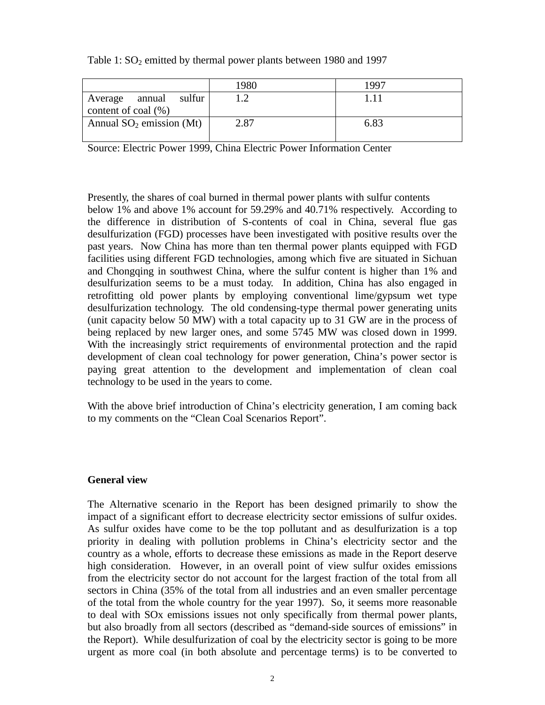|                                                        | 1980 | 1997 |
|--------------------------------------------------------|------|------|
| sulfur<br>annual<br>Average<br>content of coal $(\% )$ |      | 111  |
| Annual $SO_2$ emission (Mt)                            | 2.87 | 6.83 |

## Table 1:  $SO_2$  emitted by thermal power plants between 1980 and 1997

Source: Electric Power 1999, China Electric Power Information Center

Presently, the shares of coal burned in thermal power plants with sulfur contents below 1% and above 1% account for 59.29% and 40.71% respectively. According to the difference in distribution of S-contents of coal in China, several flue gas desulfurization (FGD) processes have been investigated with positive results over the past years. Now China has more than ten thermal power plants equipped with FGD facilities using different FGD technologies, among which five are situated in Sichuan and Chongqing in southwest China, where the sulfur content is higher than 1% and desulfurization seems to be a must today. In addition, China has also engaged in retrofitting old power plants by employing conventional lime/gypsum wet type desulfurization technology. The old condensing-type thermal power generating units (unit capacity below 50 MW) with a total capacity up to 31 GW are in the process of being replaced by new larger ones, and some 5745 MW was closed down in 1999. With the increasingly strict requirements of environmental protection and the rapid development of clean coal technology for power generation, China's power sector is paying great attention to the development and implementation of clean coal technology to be used in the years to come.

With the above brief introduction of China's electricity generation, I am coming back to my comments on the "Clean Coal Scenarios Report".

#### **General view**

The Alternative scenario in the Report has been designed primarily to show the impact of a significant effort to decrease electricity sector emissions of sulfur oxides. As sulfur oxides have come to be the top pollutant and as desulfurization is a top priority in dealing with pollution problems in China's electricity sector and the country as a whole, efforts to decrease these emissions as made in the Report deserve high consideration. However, in an overall point of view sulfur oxides emissions from the electricity sector do not account for the largest fraction of the total from all sectors in China (35% of the total from all industries and an even smaller percentage of the total from the whole country for the year 1997). So, it seems more reasonable to deal with SOx emissions issues not only specifically from thermal power plants, but also broadly from all sectors (described as "demand-side sources of emissions" in the Report). While desulfurization of coal by the electricity sector is going to be more urgent as more coal (in both absolute and percentage terms) is to be converted to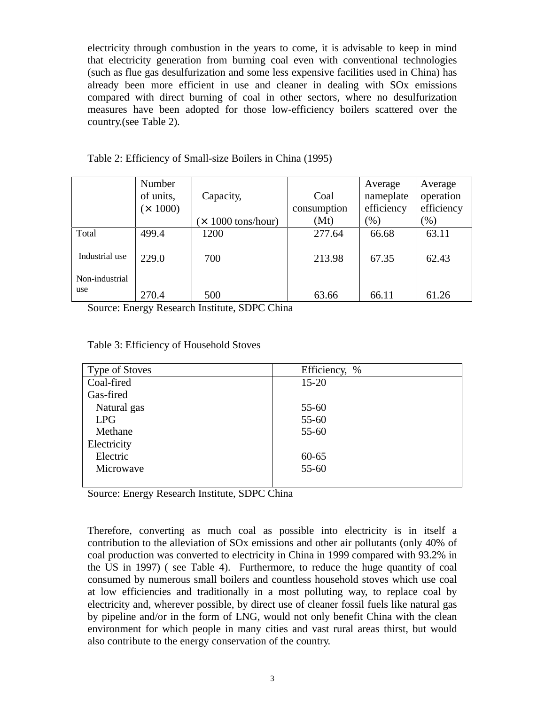electricity through combustion in the years to come, it is advisable to keep in mind that electricity generation from burning coal even with conventional technologies (such as flue gas desulfurization and some less expensive facilities used in China) has already been more efficient in use and cleaner in dealing with SOx emissions compared with direct burning of coal in other sectors, where no desulfurization measures have been adopted for those low-efficiency boilers scattered over the country.(see Table 2).

|                | Number          |                          |             | Average    | Average    |
|----------------|-----------------|--------------------------|-------------|------------|------------|
|                | of units,       | Capacity,                | Coal        | nameplate  | operation  |
|                | $(\times 1000)$ |                          | consumption | efficiency | efficiency |
|                |                 | $\times$ 1000 tons/hour) | (Mt)        | $(\%)$     | $(\% )$    |
| Total          | 499.4           | 1200                     | 277.64      | 66.68      | 63.11      |
| Industrial use | 229.0           | 700                      | 213.98      | 67.35      | 62.43      |
| Non-industrial |                 |                          |             |            |            |
| use            | 270.4           | 500                      | 63.66       | 66.11      | 61.26      |

Source: Energy Research Institute, SDPC China

Table 3: Efficiency of Household Stoves

| <b>Type of Stoves</b> | Efficiency, % |
|-----------------------|---------------|
| Coal-fired            | $15 - 20$     |
| Gas-fired             |               |
| Natural gas           | $55 - 60$     |
| <b>LPG</b>            | $55 - 60$     |
| Methane               | $55 - 60$     |
| Electricity           |               |
| Electric              | $60 - 65$     |
| Microwave             | $55 - 60$     |
|                       |               |

Source: Energy Research Institute, SDPC China

Therefore, converting as much coal as possible into electricity is in itself a contribution to the alleviation of SOx emissions and other air pollutants (only 40% of coal production was converted to electricity in China in 1999 compared with 93.2% in the US in 1997) ( see Table 4). Furthermore, to reduce the huge quantity of coal consumed by numerous small boilers and countless household stoves which use coal at low efficiencies and traditionally in a most polluting way, to replace coal by electricity and, wherever possible, by direct use of cleaner fossil fuels like natural gas by pipeline and/or in the form of LNG, would not only benefit China with the clean environment for which people in many cities and vast rural areas thirst, but would also contribute to the energy conservation of the country.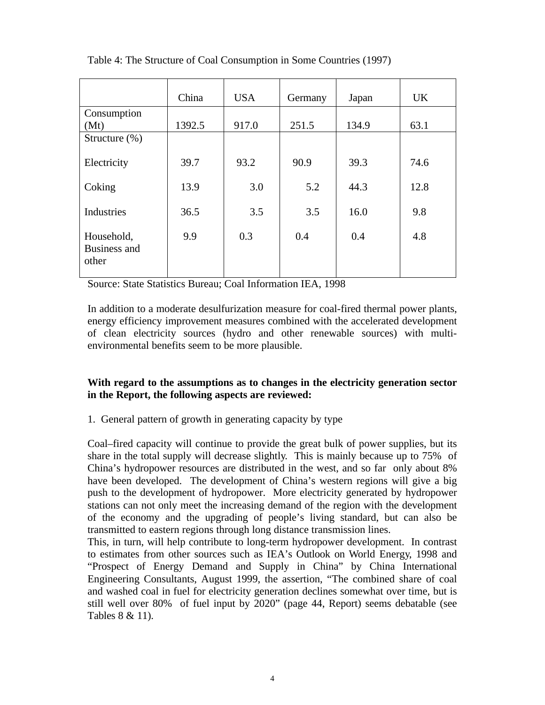|                                     | China  | <b>USA</b> | Germany | Japan | <b>UK</b> |
|-------------------------------------|--------|------------|---------|-------|-----------|
| Consumption                         |        |            |         |       |           |
| (Mt)                                | 1392.5 | 917.0      | 251.5   | 134.9 | 63.1      |
| Structure $(\%)$                    |        |            |         |       |           |
| Electricity                         | 39.7   | 93.2       | 90.9    | 39.3  | 74.6      |
| Coking                              | 13.9   | 3.0        | 5.2     | 44.3  | 12.8      |
| Industries                          | 36.5   | 3.5        | 3.5     | 16.0  | 9.8       |
| Household,<br>Business and<br>other | 9.9    | 0.3        | 0.4     | 0.4   | 4.8       |

Table 4: The Structure of Coal Consumption in Some Countries (1997)

Source: State Statistics Bureau; Coal Information IEA, 1998

In addition to a moderate desulfurization measure for coal-fired thermal power plants, energy efficiency improvement measures combined with the accelerated development of clean electricity sources (hydro and other renewable sources) with multienvironmental benefits seem to be more plausible.

## **With regard to the assumptions as to changes in the electricity generation sector in the Report, the following aspects are reviewed:**

1. General pattern of growth in generating capacity by type

Coal–fired capacity will continue to provide the great bulk of power supplies, but its share in the total supply will decrease slightly. This is mainly because up to 75% of China's hydropower resources are distributed in the west, and so far only about 8% have been developed. The development of China's western regions will give a big push to the development of hydropower. More electricity generated by hydropower stations can not only meet the increasing demand of the region with the development of the economy and the upgrading of people's living standard, but can also be transmitted to eastern regions through long distance transmission lines.

This, in turn, will help contribute to long-term hydropower development. In contrast to estimates from other sources such as IEA's Outlook on World Energy, 1998 and "Prospect of Energy Demand and Supply in China" by China International Engineering Consultants, August 1999, the assertion, "The combined share of coal and washed coal in fuel for electricity generation declines somewhat over time, but is still well over 80% of fuel input by 2020" (page 44, Report) seems debatable (see Tables 8 & 11).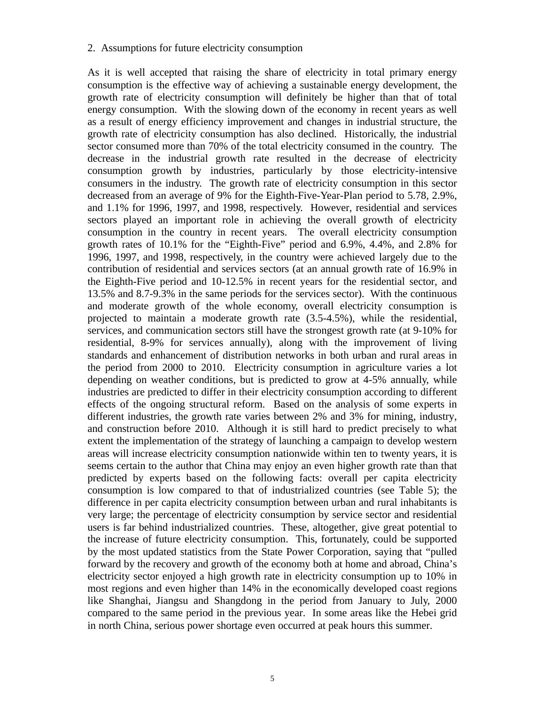#### 2. Assumptions for future electricity consumption

As it is well accepted that raising the share of electricity in total primary energy consumption is the effective way of achieving a sustainable energy development, the growth rate of electricity consumption will definitely be higher than that of total energy consumption. With the slowing down of the economy in recent years as well as a result of energy efficiency improvement and changes in industrial structure, the growth rate of electricity consumption has also declined. Historically, the industrial sector consumed more than 70% of the total electricity consumed in the country. The decrease in the industrial growth rate resulted in the decrease of electricity consumption growth by industries, particularly by those electricity-intensive consumers in the industry. The growth rate of electricity consumption in this sector decreased from an average of 9% for the Eighth-Five-Year-Plan period to 5.78, 2.9%, and 1.1% for 1996, 1997, and 1998, respectively. However, residential and services sectors played an important role in achieving the overall growth of electricity consumption in the country in recent years. The overall electricity consumption growth rates of 10.1% for the "Eighth-Five" period and 6.9%, 4.4%, and 2.8% for 1996, 1997, and 1998, respectively, in the country were achieved largely due to the contribution of residential and services sectors (at an annual growth rate of 16.9% in the Eighth-Five period and 10-12.5% in recent years for the residential sector, and 13.5% and 8.7-9.3% in the same periods for the services sector). With the continuous and moderate growth of the whole economy, overall electricity consumption is projected to maintain a moderate growth rate (3.5-4.5%), while the residential, services, and communication sectors still have the strongest growth rate (at 9-10% for residential, 8-9% for services annually), along with the improvement of living standards and enhancement of distribution networks in both urban and rural areas in the period from 2000 to 2010. Electricity consumption in agriculture varies a lot depending on weather conditions, but is predicted to grow at 4-5% annually, while industries are predicted to differ in their electricity consumption according to different effects of the ongoing structural reform. Based on the analysis of some experts in different industries, the growth rate varies between 2% and 3% for mining, industry, and construction before 2010. Although it is still hard to predict precisely to what extent the implementation of the strategy of launching a campaign to develop western areas will increase electricity consumption nationwide within ten to twenty years, it is seems certain to the author that China may enjoy an even higher growth rate than that predicted by experts based on the following facts: overall per capita electricity consumption is low compared to that of industrialized countries (see Table 5); the difference in per capita electricity consumption between urban and rural inhabitants is very large; the percentage of electricity consumption by service sector and residential users is far behind industrialized countries. These, altogether, give great potential to the increase of future electricity consumption. This, fortunately, could be supported by the most updated statistics from the State Power Corporation, saying that "pulled forward by the recovery and growth of the economy both at home and abroad, China's electricity sector enjoyed a high growth rate in electricity consumption up to 10% in most regions and even higher than 14% in the economically developed coast regions like Shanghai, Jiangsu and Shangdong in the period from January to July, 2000 compared to the same period in the previous year. In some areas like the Hebei grid in north China, serious power shortage even occurred at peak hours this summer.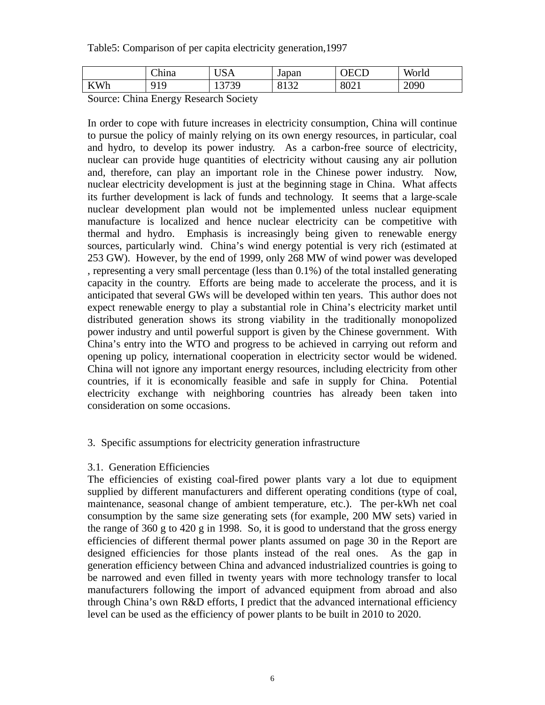Table5: Comparison of per capita electricity generation,1997

|                                | $\sim$<br>China | $\mathbf{r}$<br>$\sqrt{ }$<br>בזטט | Japan        | $\Gamma$<br>℩⊢ | World |
|--------------------------------|-----------------|------------------------------------|--------------|----------------|-------|
| 7Wh<br>$\bf{IV}$ and $\bf{IV}$ | 010<br>. .      | 3 G<br>ر بی ا<br>⊥ັ                | 0122<br>01J2 | 8021           | 2090  |

Source: China Energy Research Society

In order to cope with future increases in electricity consumption, China will continue to pursue the policy of mainly relying on its own energy resources, in particular, coal and hydro, to develop its power industry. As a carbon-free source of electricity, nuclear can provide huge quantities of electricity without causing any air pollution and, therefore, can play an important role in the Chinese power industry. Now, nuclear electricity development is just at the beginning stage in China. What affects its further development is lack of funds and technology. It seems that a large-scale nuclear development plan would not be implemented unless nuclear equipment manufacture is localized and hence nuclear electricity can be competitive with thermal and hydro. Emphasis is increasingly being given to renewable energy sources, particularly wind. China's wind energy potential is very rich (estimated at 253 GW). However, by the end of 1999, only 268 MW of wind power was developed , representing a very small percentage (less than 0.1%) of the total installed generating capacity in the country. Efforts are being made to accelerate the process, and it is anticipated that several GWs will be developed within ten years. This author does not expect renewable energy to play a substantial role in China's electricity market until distributed generation shows its strong viability in the traditionally monopolized power industry and until powerful support is given by the Chinese government. With China's entry into the WTO and progress to be achieved in carrying out reform and opening up policy, international cooperation in electricity sector would be widened. China will not ignore any important energy resources, including electricity from other countries, if it is economically feasible and safe in supply for China. Potential electricity exchange with neighboring countries has already been taken into consideration on some occasions.

#### 3. Specific assumptions for electricity generation infrastructure

#### 3.1. Generation Efficiencies

The efficiencies of existing coal-fired power plants vary a lot due to equipment supplied by different manufacturers and different operating conditions (type of coal, maintenance, seasonal change of ambient temperature, etc.). The per-kWh net coal consumption by the same size generating sets (for example, 200 MW sets) varied in the range of 360 g to 420 g in 1998. So, it is good to understand that the gross energy efficiencies of different thermal power plants assumed on page 30 in the Report are designed efficiencies for those plants instead of the real ones. As the gap in generation efficiency between China and advanced industrialized countries is going to be narrowed and even filled in twenty years with more technology transfer to local manufacturers following the import of advanced equipment from abroad and also through China's own R&D efforts, I predict that the advanced international efficiency level can be used as the efficiency of power plants to be built in 2010 to 2020.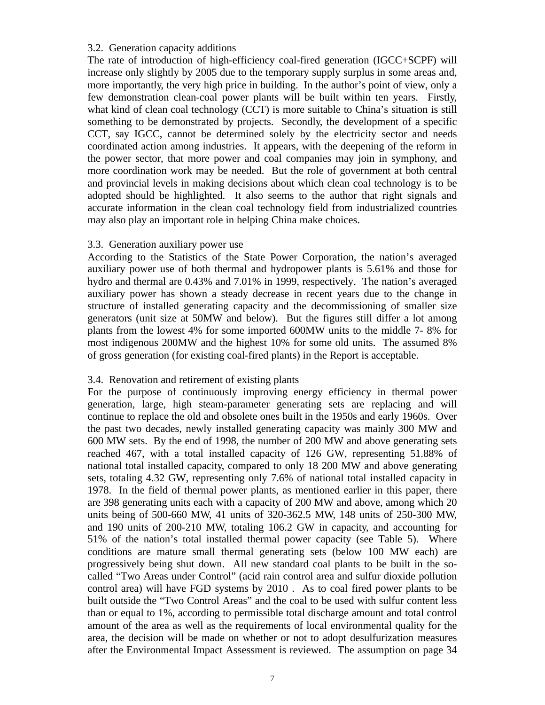## 3.2. Generation capacity additions

The rate of introduction of high-efficiency coal-fired generation (IGCC+SCPF) will increase only slightly by 2005 due to the temporary supply surplus in some areas and, more importantly, the very high price in building. In the author's point of view, only a few demonstration clean-coal power plants will be built within ten years. Firstly, what kind of clean coal technology (CCT) is more suitable to China's situation is still something to be demonstrated by projects. Secondly, the development of a specific CCT, say IGCC, cannot be determined solely by the electricity sector and needs coordinated action among industries. It appears, with the deepening of the reform in the power sector, that more power and coal companies may join in symphony, and more coordination work may be needed. But the role of government at both central and provincial levels in making decisions about which clean coal technology is to be adopted should be highlighted. It also seems to the author that right signals and accurate information in the clean coal technology field from industrialized countries may also play an important role in helping China make choices.

## 3.3. Generation auxiliary power use

According to the Statistics of the State Power Corporation, the nation's averaged auxiliary power use of both thermal and hydropower plants is 5.61% and those for hydro and thermal are 0.43% and 7.01% in 1999, respectively. The nation's averaged auxiliary power has shown a steady decrease in recent years due to the change in structure of installed generating capacity and the decommissioning of smaller size generators (unit size at 50MW and below). But the figures still differ a lot among plants from the lowest 4% for some imported 600MW units to the middle 7- 8% for most indigenous 200MW and the highest 10% for some old units. The assumed 8% of gross generation (for existing coal-fired plants) in the Report is acceptable.

## 3.4. Renovation and retirement of existing plants

For the purpose of continuously improving energy efficiency in thermal power generation, large, high steam-parameter generating sets are replacing and will continue to replace the old and obsolete ones built in the 1950s and early 1960s. Over the past two decades, newly installed generating capacity was mainly 300 MW and 600 MW sets. By the end of 1998, the number of 200 MW and above generating sets reached 467, with a total installed capacity of 126 GW, representing 51.88% of national total installed capacity, compared to only 18 200 MW and above generating sets, totaling 4.32 GW, representing only 7.6% of national total installed capacity in 1978. In the field of thermal power plants, as mentioned earlier in this paper, there are 398 generating units each with a capacity of 200 MW and above, among which 20 units being of 500-660 MW, 41 units of 320-362.5 MW, 148 units of 250-300 MW, and 190 units of 200-210 MW, totaling 106.2 GW in capacity, and accounting for 51% of the nation's total installed thermal power capacity (see Table 5). Where conditions are mature small thermal generating sets (below 100 MW each) are progressively being shut down. All new standard coal plants to be built in the socalled "Two Areas under Control" (acid rain control area and sulfur dioxide pollution control area) will have FGD systems by 2010 . As to coal fired power plants to be built outside the "Two Control Areas" and the coal to be used with sulfur content less than or equal to 1%, according to permissible total discharge amount and total control amount of the area as well as the requirements of local environmental quality for the area, the decision will be made on whether or not to adopt desulfurization measures after the Environmental Impact Assessment is reviewed. The assumption on page 34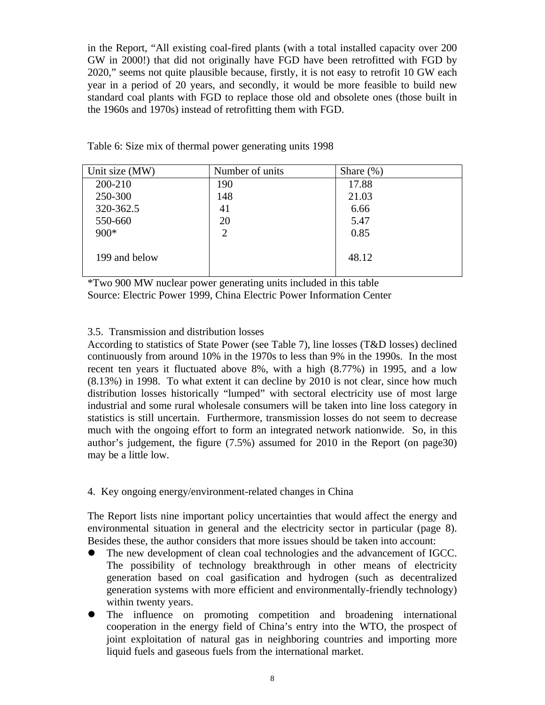in the Report, "All existing coal-fired plants (with a total installed capacity over 200 GW in 2000!) that did not originally have FGD have been retrofitted with FGD by 2020," seems not quite plausible because, firstly, it is not easy to retrofit 10 GW each year in a period of 20 years, and secondly, it would be more feasible to build new standard coal plants with FGD to replace those old and obsolete ones (those built in the 1960s and 1970s) instead of retrofitting them with FGD.

| Unit size (MW) | Number of units | Share $(\%)$ |
|----------------|-----------------|--------------|
| 200-210        | 190             | 17.88        |
| 250-300        | 148             | 21.03        |
| 320-362.5      | 41              | 6.66         |
| 550-660        | 20              | 5.47         |
| $900*$         | $\overline{2}$  | 0.85         |
|                |                 |              |
| 199 and below  |                 | 48.12        |
|                |                 |              |

Table 6: Size mix of thermal power generating units 1998

\*Two 900 MW nuclear power generating units included in this table Source: Electric Power 1999, China Electric Power Information Center

## 3.5. Transmission and distribution losses

According to statistics of State Power (see Table 7), line losses (T&D losses) declined continuously from around 10% in the 1970s to less than 9% in the 1990s. In the most recent ten years it fluctuated above 8%, with a high (8.77%) in 1995, and a low (8.13%) in 1998. To what extent it can decline by 2010 is not clear, since how much distribution losses historically "lumped" with sectoral electricity use of most large industrial and some rural wholesale consumers will be taken into line loss category in statistics is still uncertain. Furthermore, transmission losses do not seem to decrease much with the ongoing effort to form an integrated network nationwide. So, in this author's judgement, the figure (7.5%) assumed for 2010 in the Report (on page30) may be a little low.

#### 4. Key ongoing energy/environment-related changes in China

The Report lists nine important policy uncertainties that would affect the energy and environmental situation in general and the electricity sector in particular (page 8). Besides these, the author considers that more issues should be taken into account:

- The new development of clean coal technologies and the advancement of IGCC. The possibility of technology breakthrough in other means of electricity generation based on coal gasification and hydrogen (such as decentralized generation systems with more efficient and environmentally-friendly technology) within twenty years.
- The influence on promoting competition and broadening international cooperation in the energy field of China's entry into the WTO, the prospect of joint exploitation of natural gas in neighboring countries and importing more liquid fuels and gaseous fuels from the international market.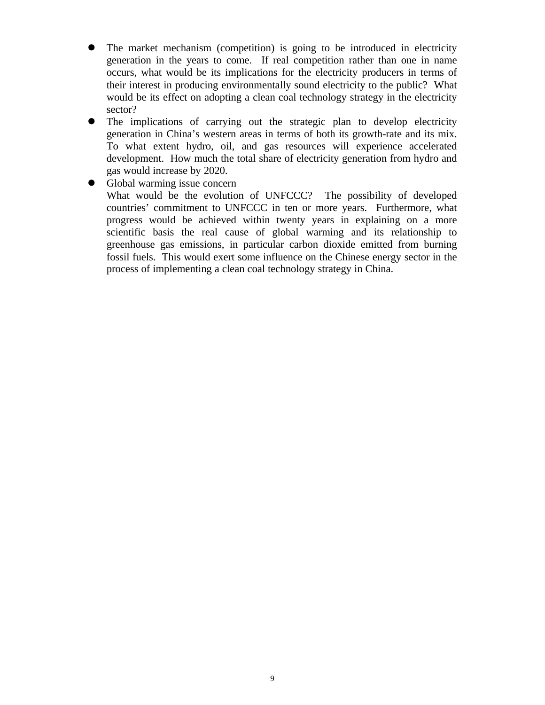- The market mechanism (competition) is going to be introduced in electricity generation in the years to come. If real competition rather than one in name occurs, what would be its implications for the electricity producers in terms of their interest in producing environmentally sound electricity to the public? What would be its effect on adopting a clean coal technology strategy in the electricity sector?
- The implications of carrying out the strategic plan to develop electricity generation in China's western areas in terms of both its growth-rate and its mix. To what extent hydro, oil, and gas resources will experience accelerated development. How much the total share of electricity generation from hydro and gas would increase by 2020.
- Global warming issue concern What would be the evolution of UNFCCC? The possibility of developed countries' commitment to UNFCCC in ten or more years. Furthermore, what progress would be achieved within twenty years in explaining on a more scientific basis the real cause of global warming and its relationship to greenhouse gas emissions, in particular carbon dioxide emitted from burning fossil fuels. This would exert some influence on the Chinese energy sector in the process of implementing a clean coal technology strategy in China.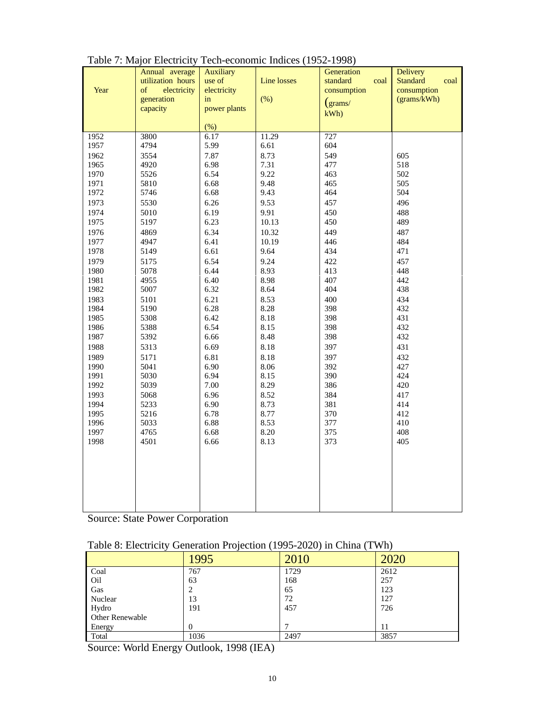| Year         | Annual average<br>utilization hours<br>electricity<br>of<br>generation<br>capacity | <b>Auxiliary</b><br>use of<br>electricity<br>in<br>power plants<br>$(\%)$ | <b>Line losses</b><br>$(\%)$ | Generation<br>standard<br>coal<br>consumption<br>$\rm (grams/$<br>kWh | Delivery<br><b>Standard</b><br>coal<br>consumption<br>(grams/kWh) |
|--------------|------------------------------------------------------------------------------------|---------------------------------------------------------------------------|------------------------------|-----------------------------------------------------------------------|-------------------------------------------------------------------|
| 1952         | 3800                                                                               | 6.17                                                                      | 11.29                        | 727                                                                   |                                                                   |
| 1957         | 4794                                                                               | 5.99                                                                      | 6.61                         | 604                                                                   |                                                                   |
| 1962         | 3554                                                                               | 7.87                                                                      | 8.73                         | 549                                                                   | 605                                                               |
| 1965         | 4920                                                                               | 6.98                                                                      | 7.31                         | 477                                                                   | 518                                                               |
| 1970         | 5526                                                                               | 6.54                                                                      | 9.22                         | 463                                                                   | 502                                                               |
| 1971         | 5810                                                                               | 6.68                                                                      | 9.48                         | 465                                                                   | 505                                                               |
| 1972         | 5746                                                                               | 6.68                                                                      | 9.43                         | 464                                                                   | 504                                                               |
| 1973         | 5530                                                                               | 6.26                                                                      | 9.53                         | 457                                                                   | 496                                                               |
| 1974         | 5010                                                                               | 6.19                                                                      | 9.91                         | 450                                                                   | 488                                                               |
| 1975         | 5197                                                                               | 6.23                                                                      | 10.13                        | 450                                                                   | 489                                                               |
| 1976         | 4869                                                                               | 6.34                                                                      | 10.32                        | 449                                                                   | 487                                                               |
| 1977         | 4947                                                                               | 6.41                                                                      | 10.19                        | 446                                                                   | 484<br>471                                                        |
| 1978         | 5149                                                                               | 6.61                                                                      | 9.64                         | 434                                                                   |                                                                   |
| 1979         | 5175                                                                               | 6.54<br>6.44                                                              | 9.24<br>8.93                 | 422                                                                   | 457<br>448                                                        |
| 1980<br>1981 | 5078<br>4955                                                                       | 6.40                                                                      | 8.98                         | 413<br>407                                                            | 442                                                               |
| 1982         | 5007                                                                               | 6.32                                                                      | 8.64                         | 404                                                                   | 438                                                               |
| 1983         | 5101                                                                               | 6.21                                                                      | 8.53                         | 400                                                                   | 434                                                               |
| 1984         | 5190                                                                               | 6.28                                                                      | 8.28                         | 398                                                                   | 432                                                               |
| 1985         | 5308                                                                               | 6.42                                                                      | 8.18                         | 398                                                                   | 431                                                               |
| 1986         | 5388                                                                               | 6.54                                                                      | 8.15                         | 398                                                                   | 432                                                               |
| 1987         | 5392                                                                               | 6.66                                                                      | 8.48                         | 398                                                                   | 432                                                               |
| 1988         | 5313                                                                               | 6.69                                                                      | 8.18                         | 397                                                                   | 431                                                               |
| 1989         | 5171                                                                               | 6.81                                                                      | 8.18                         | 397                                                                   | 432                                                               |
| 1990         | 5041                                                                               | 6.90                                                                      | 8.06                         | 392                                                                   | 427                                                               |
| 1991         | 5030                                                                               | 6.94                                                                      | 8.15                         | 390                                                                   | 424                                                               |
| 1992         | 5039                                                                               | 7.00                                                                      | 8.29                         | 386                                                                   | 420                                                               |
| 1993         | 5068                                                                               | 6.96                                                                      | 8.52                         | 384                                                                   | 417                                                               |
| 1994         | 5233                                                                               | 6.90                                                                      | 8.73                         | 381                                                                   | 414                                                               |
| 1995         | 5216                                                                               | 6.78                                                                      | 8.77                         | 370                                                                   | 412                                                               |
| 1996<br>1997 | 5033<br>4765                                                                       | 6.88<br>6.68                                                              | 8.53<br>8.20                 | 377<br>375                                                            | 410<br>408                                                        |
| 1998         | 4501                                                                               | 6.66                                                                      | 8.13                         | 373                                                                   | 405                                                               |
|              |                                                                                    |                                                                           |                              |                                                                       |                                                                   |
|              |                                                                                    |                                                                           |                              |                                                                       |                                                                   |
|              |                                                                                    |                                                                           |                              |                                                                       |                                                                   |
|              |                                                                                    |                                                                           |                              |                                                                       |                                                                   |
|              |                                                                                    |                                                                           |                              |                                                                       |                                                                   |
|              |                                                                                    |                                                                           |                              |                                                                       |                                                                   |
|              |                                                                                    |                                                                           |                              |                                                                       |                                                                   |

| Table 7: Major Electricity Tech-economic Indices (1952-1998) |  |  |
|--------------------------------------------------------------|--|--|
|                                                              |  |  |

Source: State Power Corporation

| Table 8: Electricity Generation Projection (1995-2020) in China (TWh) |  |
|-----------------------------------------------------------------------|--|
|                                                                       |  |

|                        | .995     | 2010 | 2020 |
|------------------------|----------|------|------|
| Coal                   | 767      | 1729 | 2612 |
| Oil                    | 63       | 168  | 257  |
| Gas                    |          | 65   | 123  |
| Nuclear                | 13       | 72   | 127  |
| Hydro                  | 191      | 457  | 726  |
| <b>Other Renewable</b> |          |      |      |
| Energy                 | $\Omega$ |      | 11   |
| Total                  | 1036     | 2497 | 3857 |

Source: World Energy Outlook, 1998 (IEA)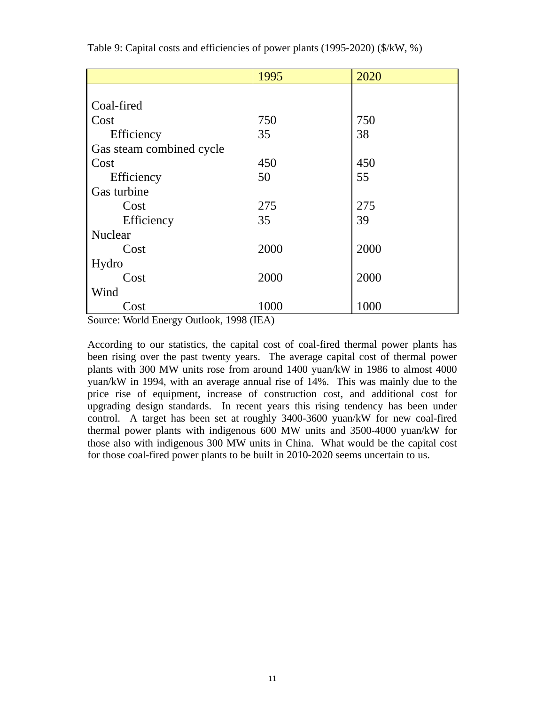|                          | 1995 | 2020 |
|--------------------------|------|------|
|                          |      |      |
| Coal-fired               |      |      |
| Cost                     | 750  | 750  |
| Efficiency               | 35   | 38   |
| Gas steam combined cycle |      |      |
| Cost                     | 450  | 450  |
| Efficiency               | 50   | 55   |
| Gas turbine              |      |      |
| Cost                     | 275  | 275  |
| Efficiency               | 35   | 39   |
| Nuclear                  |      |      |
| Cost                     | 2000 | 2000 |
| Hydro                    |      |      |
| Cost                     | 2000 | 2000 |
| Wind                     |      |      |
| Cost                     | 1000 | 1000 |

Table 9: Capital costs and efficiencies of power plants (1995-2020) (\$/kW, %)

Source: World Energy Outlook, 1998 (IEA)

According to our statistics, the capital cost of coal-fired thermal power plants has been rising over the past twenty years. The average capital cost of thermal power plants with 300 MW units rose from around 1400 yuan/kW in 1986 to almost 4000 yuan/kW in 1994, with an average annual rise of 14%. This was mainly due to the price rise of equipment, increase of construction cost, and additional cost for upgrading design standards. In recent years this rising tendency has been under control. A target has been set at roughly 3400-3600 yuan/kW for new coal-fired thermal power plants with indigenous 600 MW units and 3500-4000 yuan/kW for those also with indigenous 300 MW units in China. What would be the capital cost for those coal-fired power plants to be built in 2010-2020 seems uncertain to us.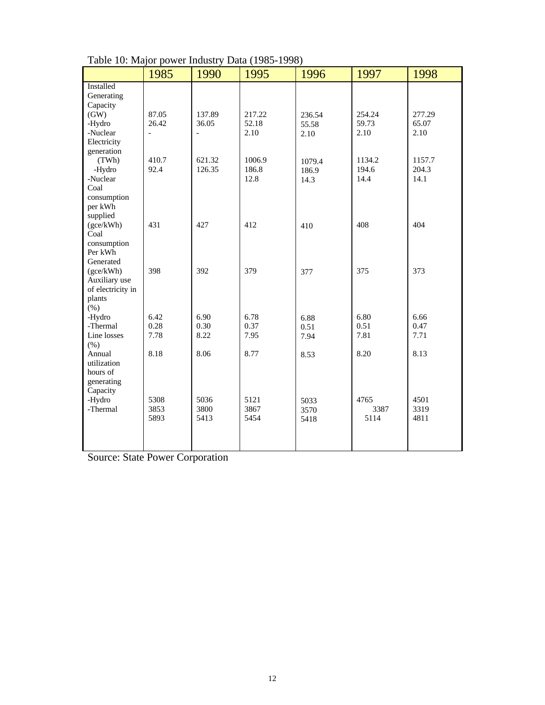|                   |                          |                          | ( - > 00 |        |        |        |
|-------------------|--------------------------|--------------------------|----------|--------|--------|--------|
|                   | 1985                     | 1990                     | 1995     | 1996   | 1997   | 1998   |
| Installed         |                          |                          |          |        |        |        |
| Generating        |                          |                          |          |        |        |        |
| Capacity          |                          |                          |          |        |        |        |
| (GW)              | 87.05                    | 137.89                   | 217.22   | 236.54 | 254.24 | 277.29 |
| -Hydro            | 26.42                    | 36.05                    | 52.18    | 55.58  | 59.73  | 65.07  |
| -Nuclear          | $\overline{\phantom{0}}$ | $\overline{\phantom{0}}$ | 2.10     | 2.10   | 2.10   | 2.10   |
| Electricity       |                          |                          |          |        |        |        |
| generation        |                          |                          |          |        |        |        |
| (TWh)             | 410.7                    | 621.32                   | 1006.9   | 1079.4 | 1134.2 | 1157.7 |
| -Hydro            | 92.4                     | 126.35                   | 186.8    | 186.9  | 194.6  | 204.3  |
| -Nuclear          |                          |                          | 12.8     | 14.3   | 14.4   | 14.1   |
| Coal              |                          |                          |          |        |        |        |
| consumption       |                          |                          |          |        |        |        |
| per kWh           |                          |                          |          |        |        |        |
| supplied          |                          |                          |          |        |        |        |
| (gce/kWh)         | 431                      | 427                      | 412      | 410    | 408    | 404    |
| Coal              |                          |                          |          |        |        |        |
| consumption       |                          |                          |          |        |        |        |
| Per kWh           |                          |                          |          |        |        |        |
| Generated         |                          |                          |          |        |        |        |
| (gce/kWh)         | 398                      | 392                      | 379      | 377    | 375    | 373    |
| Auxiliary use     |                          |                          |          |        |        |        |
| of electricity in |                          |                          |          |        |        |        |
| plants            |                          |                          |          |        |        |        |
| (% )              |                          |                          |          |        |        |        |
| -Hydro            | 6.42                     | 6.90                     | 6.78     | 6.88   | 6.80   | 6.66   |
| -Thermal          | 0.28                     | 0.30                     | 0.37     | 0.51   | 0.51   | 0.47   |
| Line losses       | 7.78                     | 8.22                     | 7.95     | 7.94   | 7.81   | 7.71   |
| $(\% )$           |                          |                          |          |        |        |        |
| Annual            | 8.18                     | 8.06                     | 8.77     | 8.53   | 8.20   | 8.13   |
| utilization       |                          |                          |          |        |        |        |
| hours of          |                          |                          |          |        |        |        |
| generating        |                          |                          |          |        |        |        |
| Capacity          |                          |                          |          |        |        |        |
| -Hydro            | 5308                     | 5036                     | 5121     | 5033   | 4765   | 4501   |
| -Thermal          | 3853                     | 3800                     | 3867     | 3570   | 3387   | 3319   |
|                   | 5893                     | 5413                     | 5454     | 5418   | 5114   | 4811   |
|                   |                          |                          |          |        |        |        |
|                   |                          |                          |          |        |        |        |
|                   |                          |                          |          |        |        |        |

Table 10: Major power Industry Data (1985-1998)

Source: State Power Corporation